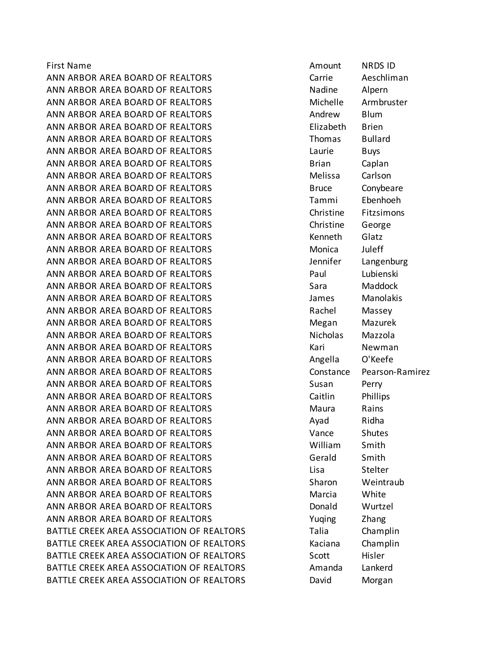First Name Amount NRDS ID ANN ARBOR AREA BOARD OF REALTORS 
SANGER AREA BOARD OF REALTORS ANN ARBOR AREA BOARD OF REALTORS National Madine Alpern ANN ARBOR AREA BOARD OF REALTORS MEET MICHELLE MICHELLE Armbruster ANN ARBOR AREA BOARD OF REALTORS Andrew Blum ANN ARBOR AREA BOARD OF REALTORS Elizabeth Brien ANN ARBOR AREA BOARD OF REALTORS THOMAS Bullard ANN ARBOR AREA BOARD OF REALTORS THE REALT BUYS ANN ARBOR AREA BOARD OF REALTORS FOR STRAIN Brian Caplan ANN ARBOR AREA BOARD OF REALTORS Melissa Carlson ANN ARBOR AREA BOARD OF REALTORS Bruce Bruce Conybeare ANN ARBOR AREA BOARD OF REALTORS Tammi Ebenhoeh ANN ARBOR AREA BOARD OF REALTORS Christine Fitzsimons ANN ARBOR AREA BOARD OF REALTORS Christine George ANN ARBOR AREA BOARD OF REALTORS THE STATE REALT WAS SERIED FOR STATE Glatz ANN ARBOR AREA BOARD OF REALTORS MONICA Monica Unleff ANN ARBOR AREA BOARD OF REALTORS FOR Langenburg Sensitive Langenburg ANN ARBOR AREA BOARD OF REALTORS Paul Lubienski ANN ARBOR AREA BOARD OF REALTORS Sara Maddock ANN ARBOR AREA BOARD OF REALTORS James Manolakis ANN ARBOR AREA BOARD OF REALTORS THE RACHEL MASSEY ANN ARBOR AREA BOARD OF REALTORS MEARLY Megan Mazurek ANN ARBOR AREA BOARD OF REALTORS Nicholas Mazzola ANN ARBOR AREA BOARD OF REALTORS THE REALT MESS CARD NEW THAT A NEW THAT A REAL REAL REAL ASSAULT A REAL PROPERTY ANN ARBOR AREA BOARD OF REALTORS Angella O'Keefe ANN ARBOR AREA BOARD OF REALTORS CONSTANDING CONSTANCE Pearson-Ramirez ANN ARBOR AREA BOARD OF REALTORS THE SUSSEN Susan Perry ANN ARBOR AREA BOARD OF REALTORS 
SANGER Caitlin Phillips ANN ARBOR AREA BOARD OF REALTORS Maura Rains ANN ARBOR AREA BOARD OF REALTORS AND A Ayad Ridha ANN ARBOR AREA BOARD OF REALTORS Vance Shutes ANN ARBOR AREA BOARD OF REALTORS William Smith ANN ARBOR AREA BOARD OF REALTORS Gerald Smith ANN ARBOR AREA BOARD OF REALTORS Lisa Stelter ANN ARBOR AREA BOARD OF REALTORS Sharon Weintraub ANN ARBOR AREA BOARD OF REALTORS Marcia White ANN ARBOR AREA BOARD OF REALTORS DONALLY DONALD DONALD Wurtzel ANN ARBOR AREA BOARD OF REALTORS THE SAME SERVING THANGE THANGE THANGE THANGE THANGE BATTLE CREEK AREA ASSOCIATION OF REALTORS Talia Champlin BATTLE CREEK AREA ASSOCIATION OF REALTORS **Kaciana** Champlin BATTLE CREEK AREA ASSOCIATION OF REALTORS Scott Hisler BATTLE CREEK AREA ASSOCIATION OF REALTORS Amanda Lankerd BATTLE CREEK AREA ASSOCIATION OF REALTORS **David** Morgan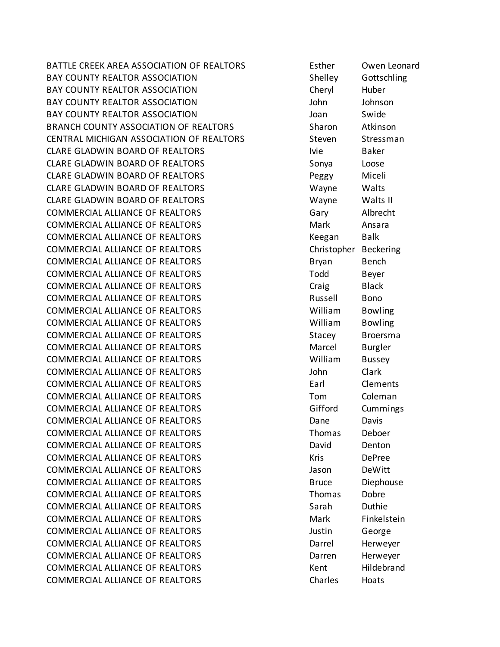BATTLE CREEK AREA ASSOCIATION OF REALTORS Esther Owen Leonard BAY COUNTY REALTOR ASSOCIATION Shelley Gottschling BAY COUNTY REALTOR ASSOCIATION Cheryl Huber BAY COUNTY REALTOR ASSOCIATION John Johnson BAY COUNTY REALTOR ASSOCIATION Joan Swide BRANCH COUNTY ASSOCIATION OF REALTORS Sharon Atkinson CENTRAL MICHIGAN ASSOCIATION OF REALTORS Steven Stressman CLARE GLADWIN BOARD OF REALTORS Ivie Baker CLARE GLADWIN BOARD OF REALTORS SONYA Loose CLARE GLADWIN BOARD OF REALTORS Peggy Miceli CLARE GLADWIN BOARD OF REALTORS Wayne Walts CLARE GLADWIN BOARD OF REALTORS Wayne Walts II COMMERCIAL ALLIANCE OF REALTORS Gary Albrecht COMMERCIAL ALLIANCE OF REALTORS MANUS Mark Ansara COMMERCIAL ALLIANCE OF REALTORS THE REALT RESERVE THE REAGANT RAIL REAGANT BAIK COMMERCIAL ALLIANCE OF REALTORS Christopher Beckering COMMERCIAL ALLIANCE OF REALTORS Bryan Bench COMMERCIAL ALLIANCE OF REALTORS TO Todd Beyer COMMERCIAL ALLIANCE OF REALTORS THE Craig Theory Black COMMERCIAL ALLIANCE OF REALTORS Russell Bono COMMERCIAL ALLIANCE OF REALTORS William Bowling COMMERCIAL ALLIANCE OF REALTORS William Bowling COMMERCIAL ALLIANCE OF REALTORS THE STACE STACE STACE STATES Broersma COMMERCIAL ALLIANCE OF REALTORS Marcel Burgler COMMERCIAL ALLIANCE OF REALTORS William Bussey COMMERCIAL ALLIANCE OF REALTORS John Clark COMMERCIAL ALLIANCE OF REALTORS **Earl Clements** COMMERCIAL ALLIANCE OF REALTORS Tom Coleman COMMERCIAL ALLIANCE OF REALTORS THE GIFFORD Gifford Cummings COMMERCIAL ALLIANCE OF REALTORS Dane Davis COMMERCIAL ALLIANCE OF REALTORS Thomas Deboer COMMERCIAL ALLIANCE OF REALTORS COMMERCIAL ALLIANCE OF REALTORS COMMERCIAL ALLIANCE OF REALTORS THE REALTORS THE REALTORS COMMERCIAL ALLIANCE OF REALTORS COMMERCIAL ALLIANCE OF REALTORS Jason DeWitt COMMERCIAL ALLIANCE OF REALTORS THE REALT BRUCE BRUCE BRUCE BRUCE Diephouse COMMERCIAL ALLIANCE OF REALTORS Thomas Dobre COMMERCIAL ALLIANCE OF REALTORS Sarah Duthie COMMERCIAL ALLIANCE OF REALTORS MANUSIC Mark Finkelstein COMMERCIAL ALLIANCE OF REALTORS Justin George COMMERCIAL ALLIANCE OF REALTORS Darrel Barrel Herweyer COMMERCIAL ALLIANCE OF REALTORS **Example 20 Fig. 12 COMMERCIAL ALLIANCE** OF REALTORS COMMERCIAL ALLIANCE OF REALTORS THE REALTORS THE REALTORS COMMERCIAL ALLIANCE OF REALTORS COMMERCIAL ALLIANCE OF REALTORS Charles Hoats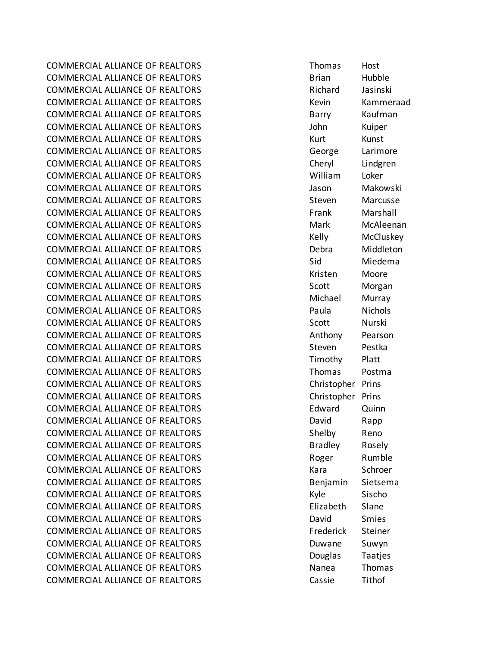COMMERCIAL ALLIANCE OF REALTORS Thomas Host COMMERCIAL ALLIANCE OF REALTORS **Brian** Hubble Brian Hubble COMMERCIAL ALLIANCE OF REALTORS Richard Jasinski COMMERCIAL ALLIANCE OF REALTORS THE REALTORS THE REALTORS COMMERCIAL ALLIANCE OF REALTORS COMMERCIAL ALLIANCE OF REALTORS **BARRY BARRY BARRY KAUFMAN** COMMERCIAL ALLIANCE OF REALTORS John Kuiper COMMERCIAL ALLIANCE OF REALTORS THE REALTORS THAT RUNST KUNST COMMERCIAL ALLIANCE OF REALTORS George Larimore COMMERCIAL ALLIANCE OF REALTORS Cheryl Lindgren COMMERCIAL ALLIANCE OF REALTORS William Loker COMMERCIAL ALLIANCE OF REALTORS Jason Makowski COMMERCIAL ALLIANCE OF REALTORS Steven Marcusse COMMERCIAL ALLIANCE OF REALTORS FRAGE COMMERCIAL ALLIANCE OF REALTORS COMMERCIAL ALLIANCE OF REALTORS MARING Mark McAleenan COMMERCIAL ALLIANCE OF REALTORS THE REALT COMMERCIAL ALLIANCE OF REALTORS COMMERCIAL ALLIANCE OF REALTORS **COMMERCIAL ALLIANCE OF REALTORS Debra** Debra Middleton COMMERCIAL ALLIANCE OF REALTORS Sid Miedema COMMERCIAL ALLIANCE OF REALTORS THE REALT COMMERCIAL ALLIANCE OF REALTORS COMMERCIAL ALLIANCE OF REALTORS SCOTT SCOTT SCOTT MOTERN COMMERCIAL ALLIANCE OF REALTORS **Michael Musical Musical** Murray COMMERCIAL ALLIANCE OF REALTORS Paula Nichols COMMERCIAL ALLIANCE OF REALTORS THE SCOTT SCOTT SCOTT Nurski COMMERCIAL ALLIANCE OF REALTORS Anthony Pearson COMMERCIAL ALLIANCE OF REALTORS STEVEN STEVEN Pestka COMMERCIAL ALLIANCE OF REALTORS TIMOTHY Timothy Platt COMMERCIAL ALLIANCE OF REALTORS Thomas Postma COMMERCIAL ALLIANCE OF REALTORS Christopher Prins COMMERCIAL ALLIANCE OF REALTORS Christopher Prins COMMERCIAL ALLIANCE OF REALTORS Edward Quinn COMMERCIAL ALLIANCE OF REALTORS **EXAMPLE 2018** David Rapp COMMERCIAL ALLIANCE OF REALTORS THE Shelby Reno COMMERCIAL ALLIANCE OF REALTORS THE REALTORS Bradley Rosely COMMERCIAL ALLIANCE OF REALTORS THE ROLL ROBER RUMBLE COMMERCIAL ALLIANCE OF REALTORS Kara Schroer COMMERCIAL ALLIANCE OF REALTORS Benjamin Sietsema COMMERCIAL ALLIANCE OF REALTORS THE SISCHONG METALLIANCE OF REALTORS COMMERCIAL ALLIANCE OF REALTORS Elizabeth Slane COMMERCIAL ALLIANCE OF REALTORS THE SMITH SMITH David Smies COMMERCIAL ALLIANCE OF REALTORS FREDERIC REALTORS FREDERICK Steiner COMMERCIAL ALLIANCE OF REALTORS **Example 20 Final Accord Summanners** Suwyn COMMERCIAL ALLIANCE OF REALTORS **EXAMPLE 2018** Douglas Taatjes COMMERCIAL ALLIANCE OF REALTORS NAND Nanea Thomas COMMERCIAL ALLIANCE OF REALTORS Cassie Tithof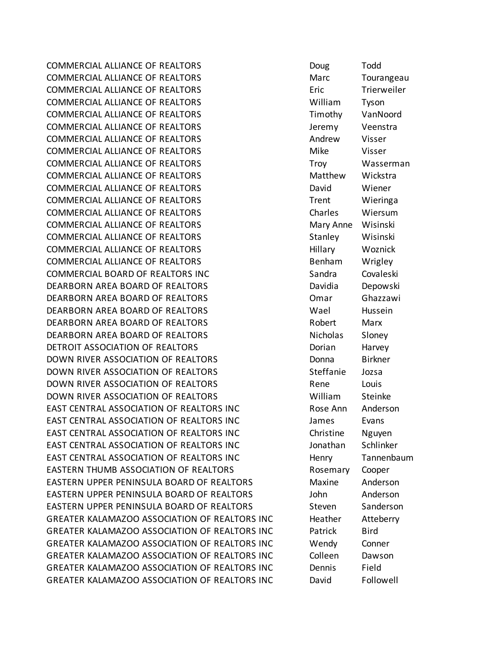COMMERCIAL ALLIANCE OF REALTORS Doug Todd COMMERCIAL ALLIANCE OF REALTORS **March March Tourangeau** COMMERCIAL ALLIANCE OF REALTORS Eric Trierweiler COMMERCIAL ALLIANCE OF REALTORS William Tyson COMMERCIAL ALLIANCE OF REALTORS THE STRING TIMOTHY THE VanNoord COMMERCIAL ALLIANCE OF REALTORS Jeremy Veenstra COMMERCIAL ALLIANCE OF REALTORS Andrew Visser COMMERCIAL ALLIANCE OF REALTORS THE MIKE MIKE MIKE VISSER COMMERCIAL ALLIANCE OF REALTORS TRANSPORTED Troversed and Masserman COMMERCIAL ALLIANCE OF REALTORS MATTER Matthew Wickstra COMMERCIAL ALLIANCE OF REALTORS David Wiener COMMERCIAL ALLIANCE OF REALTORS THE STREAK Trent Wieringa COMMERCIAL ALLIANCE OF REALTORS Charles Wiersum COMMERCIAL ALLIANCE OF REALTORS Mary Anne Wisinski COMMERCIAL ALLIANCE OF REALTORS THE STAND Stanley Wisinski COMMERCIAL ALLIANCE OF REALTORS THE REALT HILLARY WOZNICK COMMERCIAL ALLIANCE OF REALTORS THE REALTORS Benham Wrigley COMMERCIAL BOARD OF REALTORS INC The Sandra Covaleski DEARBORN AREA BOARD OF REALTORS DAVID BOARD Davidia Depowski DEARBORN AREA BOARD OF REALTORS **CONSTRUSS OMARY GENETAL CONSTRUSS** DEARBORN AREA BOARD OF REALTORS Wael Hussein DEARBORN AREA BOARD OF REALTORS THE ROBERT MARY DEARBORN AREA BOARD OF REALTORS Nicholas Sloney DETROIT ASSOCIATION OF REALTORS **Example 20 Section 12 Section** Harvey DOWN RIVER ASSOCIATION OF REALTORS **DOMING THE SEALT OF A BIRKNE**R DOWN RIVER ASSOCIATION OF REALTORS Steffanie Jozsa DOWN RIVER ASSOCIATION OF REALTORS Rene Louis DOWN RIVER ASSOCIATION OF REALTORS William Steinke EAST CENTRAL ASSOCIATION OF REALTORS INC THE ROSE Ann Anderson EAST CENTRAL ASSOCIATION OF REALTORS INC James Evans EAST CENTRAL ASSOCIATION OF REALTORS INC THE REALTORS Christine Nguyen EAST CENTRAL ASSOCIATION OF REALTORS INC FILL The Schlinker Schlinker EAST CENTRAL ASSOCIATION OF REALTORS INC Henry Tannenbaum EASTERN THUMB ASSOCIATION OF REALTORS FOR ROSEMARY Cooper EASTERN UPPER PENINSULA BOARD OF REALTORS Maxine Anderson EASTERN UPPER PENINSULA BOARD OF REALTORS John Anderson EASTERN UPPER PENINSULA BOARD OF REALTORS Steven Sanderson GREATER KALAMAZOO ASSOCIATION OF REALTORS INC Heather Atteberry GREATER KALAMAZOO ASSOCIATION OF REALTORS INC Patrick Bird GREATER KALAMAZOO ASSOCIATION OF REALTORS INC Wendy Conner GREATER KALAMAZOO ASSOCIATION OF REALTORS INC Colleen Dawson GREATER KALAMAZOO ASSOCIATION OF REALTORS INC Dennis Field GREATER KALAMAZOO ASSOCIATION OF REALTORS INC David Followell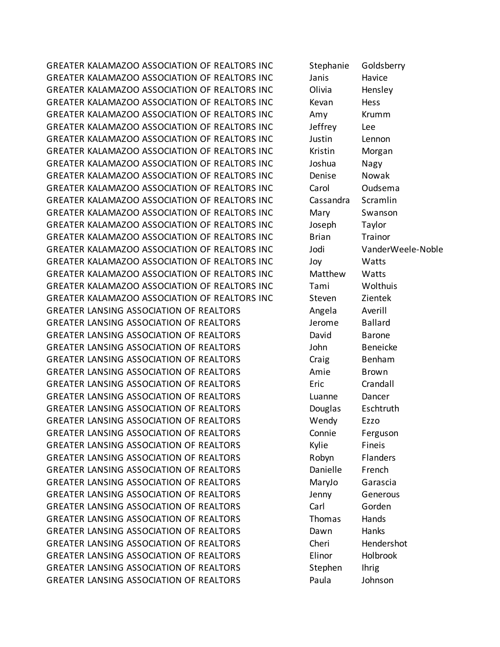GREATER KALAMAZOO ASSOCIATION OF REALTORS INC Stephanie Goldsberry GREATER KALAMAZOO ASSOCIATION OF REALTORS INC Janis Havice GREATER KALAMAZOO ASSOCIATION OF REALTORS INC Olivia Hensley GREATER KALAMAZOO ASSOCIATION OF REALTORS INC Kevan Hess GREATER KALAMAZOO ASSOCIATION OF REALTORS INC \_\_\_\_\_\_\_\_\_\_\_\_\_\_\_\_\_\_\_\_\_\_Krumm GREATER KALAMAZOO ASSOCIATION OF REALTORS INC Jeffrey Lee GREATER KALAMAZOO ASSOCIATION OF REALTORS INC Justin Lennon GREATER KALAMAZOO ASSOCIATION OF REALTORS INC Kristin Morgan GREATER KALAMAZOO ASSOCIATION OF REALTORS INC Joshua Nagy GREATER KALAMAZOO ASSOCIATION OF REALTORS INC Denise Nowak GREATER KALAMAZOO ASSOCIATION OF REALTORS INC Carol Oudsema GREATER KALAMAZOO ASSOCIATION OF REALTORS INC Cassandra Scramlin GREATER KALAMAZOO ASSOCIATION OF REALTORS INC Mary Swanson GREATER KALAMAZOO ASSOCIATION OF REALTORS INC Joseph Taylor GREATER KALAMAZOO ASSOCIATION OF REALTORS INC Brian Brian Trainor GREATER KALAMAZOO ASSOCIATION OF REALTORS INC Jodi VanderWeele-Noble GREATER KALAMAZOO ASSOCIATION OF REALTORS INC Joy Watts GREATER KALAMAZOO ASSOCIATION OF REALTORS INC Matthew Watts GREATER KALAMAZOO ASSOCIATION OF REALTORS INC Tami Wolthuis GREATER KALAMAZOO ASSOCIATION OF REALTORS INC Steven Zientek GREATER LANSING ASSOCIATION OF REALTORS Angela Averill GREATER LANSING ASSOCIATION OF REALTORS THE STATE HOME Ballard GREATER LANSING ASSOCIATION OF REALTORS **Example 20 For the UNITS CREATER** Barone GREATER LANSING ASSOCIATION OF REALTORS John Beneicke GREATER LANSING ASSOCIATION OF REALTORS Craig Benham GREATER LANSING ASSOCIATION OF REALTORS Amie Brown GREATER LANSING ASSOCIATION OF REALTORS FREE Eric Crandall GREATER LANSING ASSOCIATION OF REALTORS Luanne Dancer GREATER LANSING ASSOCIATION OF REALTORS Douglas Eschtruth GREATER LANSING ASSOCIATION OF REALTORS Wendy Ezzo GREATER LANSING ASSOCIATION OF REALTORS Connie Ferguson GREATER LANSING ASSOCIATION OF REALTORS Fineis GREATER LANSING ASSOCIATION OF REALTORS Flanders Robyn Flanders GREATER LANSING ASSOCIATION OF REALTORS THE Danielle French GREATER LANSING ASSOCIATION OF REALTORS MaryJo Garascia GREATER LANSING ASSOCIATION OF REALTORS FOR THE MANY Senerous GREATER LANSING ASSOCIATION OF REALTORS **Carl Carl Gorden** GREATER LANSING ASSOCIATION OF REALTORS Thomas Hands GREATER LANSING ASSOCIATION OF REALTORS **Example 20 Formula** Hanks GREATER LANSING ASSOCIATION OF REALTORS Cheri Hendershot GREATER LANSING ASSOCIATION OF REALTORS Elinor Holbrook GREATER LANSING ASSOCIATION OF REALTORS Stephen Ihrig GREATER LANSING ASSOCIATION OF REALTORS FOR Paula Bohnson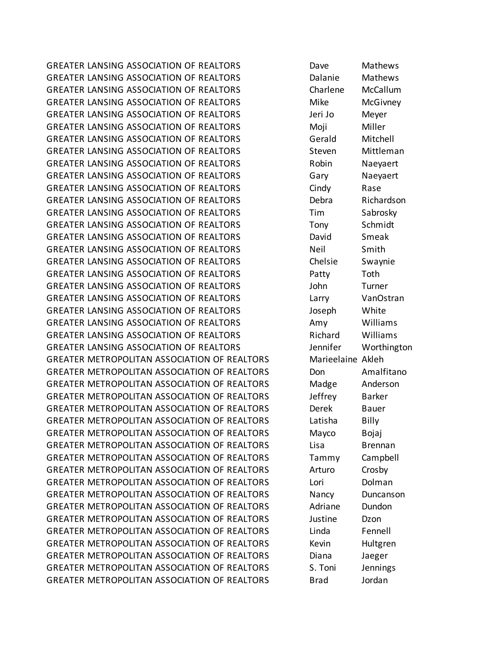GREATER LANSING ASSOCIATION OF REALTORS THE Dave Mathews GREATER LANSING ASSOCIATION OF REALTORS THE Dalanie Mathews GREATER LANSING ASSOCIATION OF REALTORS Charlene McCallum GREATER LANSING ASSOCIATION OF REALTORS THE MICHOTHOM MIKE MCGIVNEY GREATER LANSING ASSOCIATION OF REALTORS Jeri Jo Meyer GREATER LANSING ASSOCIATION OF REALTORS THE MONDITION MONOMONT MILLER GREATER LANSING ASSOCIATION OF REALTORS 6erald Mitchell GREATER LANSING ASSOCIATION OF REALTORS Steven Mittleman GREATER LANSING ASSOCIATION OF REALTORS THE Robin Naevaert GREATER LANSING ASSOCIATION OF REALTORS Gary Bary Naeyaert GREATER LANSING ASSOCIATION OF REALTORS Cindy Rase GREATER LANSING ASSOCIATION OF REALTORS THE Debra Richardson GREATER LANSING ASSOCIATION OF REALTORS Tim Sabrosky GREATER LANSING ASSOCIATION OF REALTORS TONY Schmidt GREATER LANSING ASSOCIATION OF REALTORS The David Smeak GREATER LANSING ASSOCIATION OF REALTORS Neil Smith GREATER LANSING ASSOCIATION OF REALTORS Chelsie Swaynie GREATER LANSING ASSOCIATION OF REALTORS Fatty Toth GREATER LANSING ASSOCIATION OF REALTORS FOR SUCKEY John Turner GREATER LANSING ASSOCIATION OF REALTORS Larry VanOstran GREATER LANSING ASSOCIATION OF REALTORS The Subsetional United GREATER LANSING ASSOCIATION OF REALTORS THE MOTOR HAMPLET AMOUNT WIlliams GREATER LANSING ASSOCIATION OF REALTORS Richard Williams GREATER LANSING ASSOCIATION OF REALTORS For the sensitive vertiling to the Worthington GREATER METROPOLITAN ASSOCIATION OF REALTORS Marieelaine Akleh GREATER METROPOLITAN ASSOCIATION OF REALTORS **The Done Amalfitano** GREATER METROPOLITAN ASSOCIATION OF REALTORS Madge Anderson GREATER METROPOLITAN ASSOCIATION OF REALTORS Function of Barker GREATER METROPOLITAN ASSOCIATION OF REALTORS Derek Bauer GREATER METROPOLITAN ASSOCIATION OF REALTORS Latisha Billy GREATER METROPOLITAN ASSOCIATION OF REALTORS Mayco Bojaj GREATER METROPOLITAN ASSOCIATION OF REALTORS Lisa Brennan GREATER METROPOLITAN ASSOCIATION OF REALTORS Tammy Campbell GREATER METROPOLITAN ASSOCIATION OF REALTORS Arturo Crosby GREATER METROPOLITAN ASSOCIATION OF REALTORS Lori Dolman GREATER METROPOLITAN ASSOCIATION OF REALTORS Nancy Duncanson GREATER METROPOLITAN ASSOCIATION OF REALTORS Adriane Dundon GREATER METROPOLITAN ASSOCIATION OF REALTORS Justine Dzon GREATER METROPOLITAN ASSOCIATION OF REALTORS Linda Fennell GREATER METROPOLITAN ASSOCIATION OF REALTORS Kevin Hultgren GREATER METROPOLITAN ASSOCIATION OF REALTORS Diana Diaeger GREATER METROPOLITAN ASSOCIATION OF REALTORS S. Toni Jennings GREATER METROPOLITAN ASSOCIATION OF REALTORS Brad Brad Bordan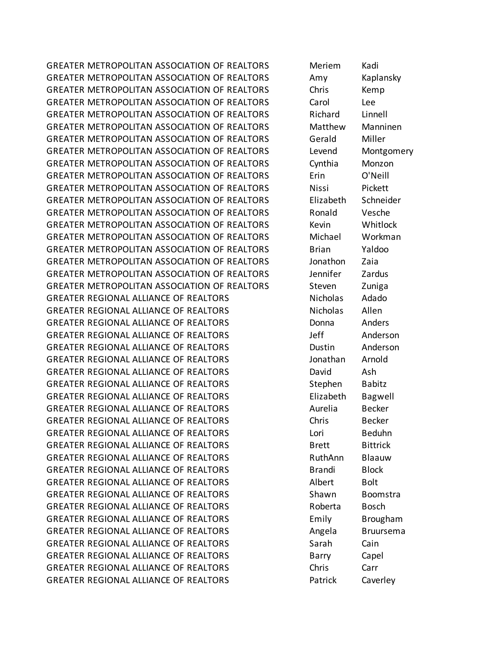GREATER METROPOLITAN ASSOCIATION OF REALTORS Meriem Kadi GREATER METROPOLITAN ASSOCIATION OF REALTORS Amy Kaplansky GREATER METROPOLITAN ASSOCIATION OF REALTORS Chris Kemp GREATER METROPOLITAN ASSOCIATION OF REALTORS Carol Lee GREATER METROPOLITAN ASSOCIATION OF REALTORS BRIGHARD REALTORS GREATER METROPOLITAN ASSOCIATION OF REALTORS Matthew Manninen GREATER METROPOLITAN ASSOCIATION OF REALTORS Gerald Miller GREATER METROPOLITAN ASSOCIATION OF REALTORS Levend Montgomery GREATER METROPOLITAN ASSOCIATION OF REALTORS Cynthia Monzon GREATER METROPOLITAN ASSOCIATION OF REALTORS Erin O'Neill GREATER METROPOLITAN ASSOCIATION OF REALTORS Nissi Pickett GREATER METROPOLITAN ASSOCIATION OF REALTORS Elizabeth Schneider GREATER METROPOLITAN ASSOCIATION OF REALTORS Ronald Vesche GREATER METROPOLITAN ASSOCIATION OF REALTORS Kevin Whitlock GREATER METROPOLITAN ASSOCIATION OF REALTORS Michael Workman GREATER METROPOLITAN ASSOCIATION OF REALTORS Brian Yaldoo GREATER METROPOLITAN ASSOCIATION OF REALTORS Jonathon Zaia GREATER METROPOLITAN ASSOCIATION OF REALTORS Jennifer Zardus GREATER METROPOLITAN ASSOCIATION OF REALTORS Steven Zuniga GREATER REGIONAL ALLIANCE OF REALTORS NET MICHOLAS NOTIFIED Adado GREATER REGIONAL ALLIANCE OF REALTORS Nicholas Allen GREATER REGIONAL ALLIANCE OF REALTORS **Example 20 Final Anders** Anders GREATER REGIONAL ALLIANCE OF REALTORS THE STATE HEATH Anderson GREATER REGIONAL ALLIANCE OF REALTORS **Example 10 FOST 10 FOST Anderson** GREATER REGIONAL ALLIANCE OF REALTORS FOR ALLIANCE OF REALTORS GREATER REGIONAL ALLIANCE OF REALTORS **Example 20 FISH** David Ash GREATER REGIONAL ALLIANCE OF REALTORS Stephen Babitz GREATER REGIONAL ALLIANCE OF REALTORS FREE Elizabeth Bagwell GREATER REGIONAL ALLIANCE OF REALTORS Aurelia Becker GREATER REGIONAL ALLIANCE OF REALTORS THE REALTORS Chris Becker GREATER REGIONAL ALLIANCE OF REALTORS Lori Lori Beduhn GREATER REGIONAL ALLIANCE OF REALTORS THE BITTLE BITTLE BITTLE BITTLE BITTLE BITTLE GREATER REGIONAL ALLIANCE OF REALTORS **REALTORS** RuthAnn Blaauw GREATER REGIONAL ALLIANCE OF REALTORS **Brandi** Block GREATER REGIONAL ALLIANCE OF REALTORS Albert Bolt GREATER REGIONAL ALLIANCE OF REALTORS Shawn Boomstra GREATER REGIONAL ALLIANCE OF REALTORS FOR ROBERTAL Bosch GREATER REGIONAL ALLIANCE OF REALTORS Emily Brougham GREATER REGIONAL ALLIANCE OF REALTORS Angela Bruursema GREATER REGIONAL ALLIANCE OF REALTORS Sarah Cain GREATER REGIONAL ALLIANCE OF REALTORS FOR Barry Capel GREATER REGIONAL ALLIANCE OF REALTORS Chris Carr GREATER REGIONAL ALLIANCE OF REALTORS FOR Patrick Caverley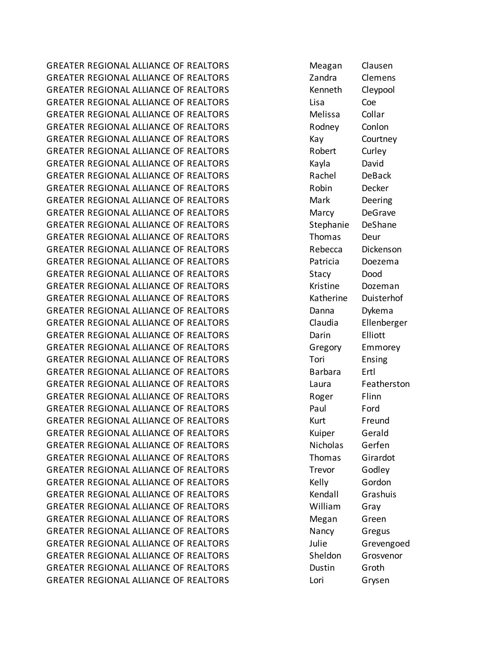GREATER REGIONAL ALLIANCE OF REALTORS **Meagan** Clausen GREATER REGIONAL ALLIANCE OF REALTORS THE STAND RANGE Clemens GREATER REGIONAL ALLIANCE OF REALTORS THE REALTORS READER READERS ARE RESIDENCED AS A REAL PROPERTY AND READER GREATER REGIONAL ALLIANCE OF REALTORS Lisa Coe GREATER REGIONAL ALLIANCE OF REALTORS **Melissa** Collar GREATER REGIONAL ALLIANCE OF REALTORS FOR RODARY Conlon GREATER REGIONAL ALLIANCE OF REALTORS THE May Courtney GREATER REGIONAL ALLIANCE OF REALTORS THE Robert Curley GREATER REGIONAL ALLIANCE OF REALTORS THE REALTORS CRIMINAL Rayla GREATER REGIONAL ALLIANCE OF REALTORS FRAGALLY Rachel DeBack GREATER REGIONAL ALLIANCE OF REALTORS THE ROBIN BOOK DECKER GREATER REGIONAL ALLIANCE OF REALTORS **Mark** Deering GREATER REGIONAL ALLIANCE OF REALTORS THE Marcy DeGrave GREATER REGIONAL ALLIANCE OF REALTORS Stephanie DeShane GREATER REGIONAL ALLIANCE OF REALTORS Thomas Deur GREATER REGIONAL ALLIANCE OF REALTORS THE Rebecca Dickenson GREATER REGIONAL ALLIANCE OF REALTORS Patricia Doezema GREATER REGIONAL ALLIANCE OF REALTORS Stacy Dood GREATER REGIONAL ALLIANCE OF REALTORS THE REALTORS RESISTING RESISTING RESISTING REAL PROPERTY GREATER REGIONAL ALLIANCE OF REALTORS THE REALTORS Katherine Duisterhof GREATER REGIONAL ALLIANCE OF REALTORS **Example 20 Final Contract Contract Contract** Dykema GREATER REGIONAL ALLIANCE OF REALTORS Claudia Ellenberger GREATER REGIONAL ALLIANCE OF REALTORS **Elliott** Darin Elliott GREATER REGIONAL ALLIANCE OF REALTORS THE Gregory Emmorey GREATER REGIONAL ALLIANCE OF REALTORS TOTI Tori Ensing GREATER REGIONAL ALLIANCE OF REALTORS FOR Barbara Ertl GREATER REGIONAL ALLIANCE OF REALTORS THE Laura Featherston GREATER REGIONAL ALLIANCE OF REALTORS THE ROBER THE ROBER Flinn GREATER REGIONAL ALLIANCE OF REALTORS Ford Paul Ford GREATER REGIONAL ALLIANCE OF REALTORS THE REALT REALTY REALTY AND REALTY REALTY REALTY AND REALTY REALTY REALTY GREATER REGIONAL ALLIANCE OF REALTORS THE REALTORS Ruiper Gerald GREATER REGIONAL ALLIANCE OF REALTORS Nicholas Gerfen GREATER REGIONAL ALLIANCE OF REALTORS THOMAS Girardot GREATER REGIONAL ALLIANCE OF REALTORS Trevor Godley GREATER REGIONAL ALLIANCE OF REALTORS THE REALTORS REALTORS REALTORS REALTORS GREATER REGIONAL ALLIANCE OF REALTORS THE REALTORS Rendall Grashuis GREATER REGIONAL ALLIANCE OF REALTORS THE MILLIAN William Grav GREATER REGIONAL ALLIANCE OF REALTORS **Megan** Green GREATER REGIONAL ALLIANCE OF REALTORS Nancy Gregus GREATER REGIONAL ALLIANCE OF REALTORS FOR THE STREATER REGIONAL ALLIANCE OF REALTORS GREATER REGIONAL ALLIANCE OF REALTORS Sheldon Grosvenor GREATER REGIONAL ALLIANCE OF REALTORS Dustin Groth GREATER REGIONAL ALLIANCE OF REALTORS Lori Lori Grysen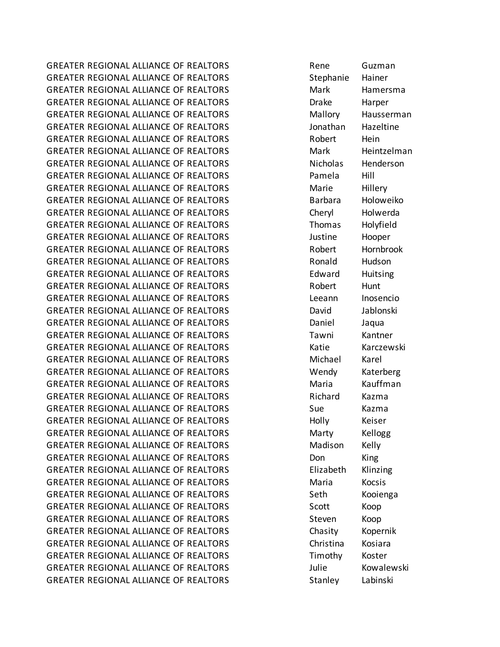GREATER REGIONAL ALLIANCE OF REALTORS THE RESERVE RENE Guzman GREATER REGIONAL ALLIANCE OF REALTORS Stephanie Hainer GREATER REGIONAL ALLIANCE OF REALTORS Mark Mark Hamersma GREATER REGIONAL ALLIANCE OF REALTORS THE REALTORS Drake Harper GREATER REGIONAL ALLIANCE OF REALTORS Mallory Hausserman GREATER REGIONAL ALLIANCE OF REALTORS **STARF AREASS AREA** Jonathan Hazeltine GREATER REGIONAL ALLIANCE OF REALTORS THE ROBERT HEIN GREATER REGIONAL ALLIANCE OF REALTORS Mark Mark Heintzelman GREATER REGIONAL ALLIANCE OF REALTORS NET MICHOLAS Henderson GREATER REGIONAL ALLIANCE OF REALTORS Pamela Hill GREATER REGIONAL ALLIANCE OF REALTORS FOR Marie Hillery GREATER REGIONAL ALLIANCE OF REALTORS FOR Barbara Holoweiko GREATER REGIONAL ALLIANCE OF REALTORS Cheryl Holwerda GREATER REGIONAL ALLIANCE OF REALTORS Thomas Holyfield GREATER REGIONAL ALLIANCE OF REALTORS THE SUBSECTION SUBSECTION AND HOOPER GREATER REGIONAL ALLIANCE OF REALTORS THE Robert Hornbrook GREATER REGIONAL ALLIANCE OF REALTORS **REALTORS** Ronald Hudson GREATER REGIONAL ALLIANCE OF REALTORS FOR THE REALTORS Edward Huitsing GREATER REGIONAL ALLIANCE OF REALTORS THE ROBERT Hunt GREATER REGIONAL ALLIANCE OF REALTORS Leeann Inosencio GREATER REGIONAL ALLIANCE OF REALTORS **BEEN DAVIDED** David Jablonski GREATER REGIONAL ALLIANCE OF REALTORS FOR Daniel Daniel Jaqua GREATER REGIONAL ALLIANCE OF REALTORS TAWNI Kantner GREATER REGIONAL ALLIANCE OF REALTORS Katie Karczewski GREATER REGIONAL ALLIANCE OF REALTORS Michael Karel GREATER REGIONAL ALLIANCE OF REALTORS Wendy Katerberg GREATER REGIONAL ALLIANCE OF REALTORS Maria Maria Kauffman GREATER REGIONAL ALLIANCE OF REALTORS FOR REALTORS Richard Kazma GREATER REGIONAL ALLIANCE OF REALTORS Sue Sue Kazma GREATER REGIONAL ALLIANCE OF REALTORS FOR Holly Follow Keiser GREATER REGIONAL ALLIANCE OF REALTORS **Marty** Marty Kellogg GREATER REGIONAL ALLIANCE OF REALTORS Madison Kelly GREATER REGIONAL ALLIANCE OF REALTORS Don King GREATER REGIONAL ALLIANCE OF REALTORS FREE Elizabeth Klinzing GREATER REGIONAL ALLIANCE OF REALTORS **Maria** Kocsis GREATER REGIONAL ALLIANCE OF REALTORS Seth Kooienga GREATER REGIONAL ALLIANCE OF REALTORS Scott Koop GREATER REGIONAL ALLIANCE OF REALTORS Steven Koop GREATER REGIONAL ALLIANCE OF REALTORS Chasity Kopernik GREATER REGIONAL ALLIANCE OF REALTORS **Christina** Kosiara GREATER REGIONAL ALLIANCE OF REALTORS TIMOTHY Koster GREATER REGIONAL ALLIANCE OF REALTORS THE STATE HOUSE SUITE AND MOVE CONSTANTS AND LOTE AND HOUSE CONSTRUCT A GREATER REGIONAL ALLIANCE OF REALTORS Stanley Labinski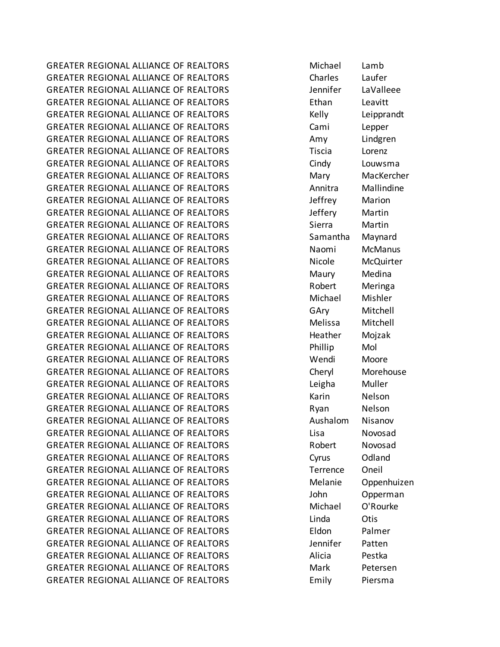GREATER REGIONAL ALLIANCE OF REALTORS **Michael** Lamb GREATER REGIONAL ALLIANCE OF REALTORS Charles Laufer GREATER REGIONAL ALLIANCE OF REALTORS FOR THE MODE of the Muslim of LaValleee GREATER REGIONAL ALLIANCE OF REALTORS Ethan Leavitt GREATER REGIONAL ALLIANCE OF REALTORS THE REALTORS REALTORS RESIDENCE AND LEIPPRANDIC GREATER REGIONAL ALLIANCE OF REALTORS Cami Lepper GREATER REGIONAL ALLIANCE OF REALTORS Amy Lindgren GREATER REGIONAL ALLIANCE OF REALTORS Tiscia Lorenz GREATER REGIONAL ALLIANCE OF REALTORS Cindy Louwsma GREATER REGIONAL ALLIANCE OF REALTORS Mary Mary MacKercher GREATER REGIONAL ALLIANCE OF REALTORS Annitra Mallindine GREATER REGIONAL ALLIANCE OF REALTORS FOR THE STATE STATE AND DEFITLE Marion GREATER REGIONAL ALLIANCE OF REALTORS FOR THE STATE STATE Martin GREATER REGIONAL ALLIANCE OF REALTORS Sierra Martin GREATER REGIONAL ALLIANCE OF REALTORS Samantha Maynard GREATER REGIONAL ALLIANCE OF REALTORS Naomi McManus GREATER REGIONAL ALLIANCE OF REALTORS Nicole McQuirter GREATER REGIONAL ALLIANCE OF REALTORS Maury Maury Medina GREATER REGIONAL ALLIANCE OF REALTORS THE Robert Meringa GREATER REGIONAL ALLIANCE OF REALTORS Michael Mishler GREATER REGIONAL ALLIANCE OF REALTORS GAry Mitchell GREATER REGIONAL ALLIANCE OF REALTORS **Melissa** Mitchell GREATER REGIONAL ALLIANCE OF REALTORS THE Heather Mojzak GREATER REGIONAL ALLIANCE OF REALTORS FOR Phillip Mol GREATER REGIONAL ALLIANCE OF REALTORS Wendi Moore GREATER REGIONAL ALLIANCE OF REALTORS Cheryl Morehouse GREATER REGIONAL ALLIANCE OF REALTORS Leigha Muller GREATER REGIONAL ALLIANCE OF REALTORS THE MARING WARD NELSON GREATER REGIONAL ALLIANCE OF REALTORS THE REARD Ryan Nelson GREATER REGIONAL ALLIANCE OF REALTORS Aushalom Nisanov GREATER REGIONAL ALLIANCE OF REALTORS Lisa Lisa Novosad GREATER REGIONAL ALLIANCE OF REALTORS FOR ROBERT ROOMS AND ROOMS GREATER REGIONAL ALLIANCE OF REALTORS Cyrus Odland GREATER REGIONAL ALLIANCE OF REALTORS Terrence Oneil GREATER REGIONAL ALLIANCE OF REALTORS Melanie Oppenhuizen GREATER REGIONAL ALLIANCE OF REALTORS FOR SUCH THE SUBSEXTED SUPPLY AND THE SUBSEXTED SUBSEXTED SUBSEXTED SUBSEXTED SUBSEXTED SUBSEXTED SUBSEXTED SUBSEXTED SUBSEXTED SUBSEXTED SUBSEXTED SUBSEXTED SUBSEXTED SUBSEXTED SUBSEX GREATER REGIONAL ALLIANCE OF REALTORS Michael O'Rourke GREATER REGIONAL ALLIANCE OF REALTORS Linda Dtis GREATER REGIONAL ALLIANCE OF REALTORS Eldon Palmer GREATER REGIONAL ALLIANCE OF REALTORS THE SERVICE PATTER PATTER GREATER REGIONAL ALLIANCE OF REALTORS Alicia Pestka GREATER REGIONAL ALLIANCE OF REALTORS Mark Petersen GREATER REGIONAL ALLIANCE OF REALTORS FOR EMILY Piersma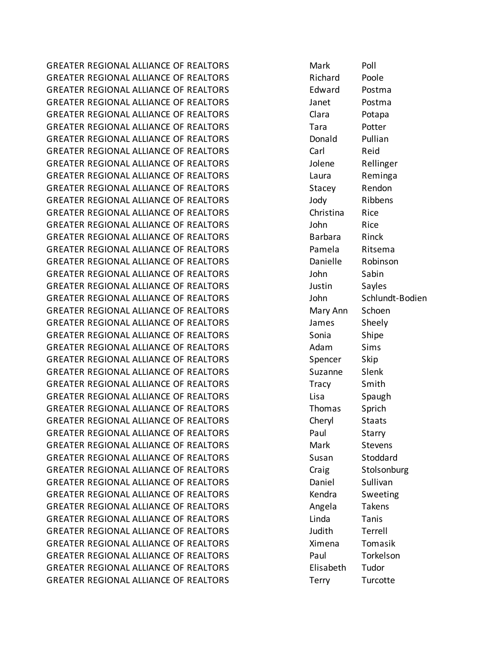GREATER REGIONAL ALLIANCE OF REALTORS **Mark** Poll GREATER REGIONAL ALLIANCE OF REALTORS THE Richard Poole GREATER REGIONAL ALLIANCE OF REALTORS FOR THE MORT CONTROL CONTRACT AND RESIDENCE AND RESIDENCE AND RESIDENCE GREATER REGIONAL ALLIANCE OF REALTORS THE Manual State of Postma GREATER REGIONAL ALLIANCE OF REALTORS THE Clara Potapa GREATER REGIONAL ALLIANCE OF REALTORS TARDITY Tara Potter GREATER REGIONAL ALLIANCE OF REALTORS **Example 20 For Service 20 For Allian** GREATER REGIONAL ALLIANCE OF REALTORS The Carl Carl Reid GREATER REGIONAL ALLIANCE OF REALTORS FOR SUPPOSE AND SOLUTION SUPPOSE AND SUPPOSE AND RELLIANCE OF REALTORS GREATER REGIONAL ALLIANCE OF REALTORS Laura Reminga GREATER REGIONAL ALLIANCE OF REALTORS Stacey Rendon GREATER REGIONAL ALLIANCE OF REALTORS THE STATE HOLD Jody The Ribbens GREATER REGIONAL ALLIANCE OF REALTORS Christina Rice GREATER REGIONAL ALLIANCE OF REALTORS THE STATE STATE STATES AND RICE GREATER REGIONAL ALLIANCE OF REALTORS **Barbara** Rinck GREATER REGIONAL ALLIANCE OF REALTORS FOR Pamela Ritsema GREATER REGIONAL ALLIANCE OF REALTORS **Example 19 Danielle** Robinson GREATER REGIONAL ALLIANCE OF REALTORS John Sabin GREATER REGIONAL ALLIANCE OF REALTORS THE SAMILY SAMES SAMES GREATER REGIONAL ALLIANCE OF REALTORS THE SCHLUND John Schlundt-Bodien GREATER REGIONAL ALLIANCE OF REALTORS Mary Ann Schoen GREATER REGIONAL ALLIANCE OF REALTORS THE STATE Sheely GREATER REGIONAL ALLIANCE OF REALTORS Sonia Shipe GREATER REGIONAL ALLIANCE OF REALTORS 
and the state of the Adam Sims GREATER REGIONAL ALLIANCE OF REALTORS Spencer Skip GREATER REGIONAL ALLIANCE OF REALTORS Suzanne Slenk GREATER REGIONAL ALLIANCE OF REALTORS Tracy Smith GREATER REGIONAL ALLIANCE OF REALTORS THE REALTORS Lisa Spaugh GREATER REGIONAL ALLIANCE OF REALTORS THE THOMAS Sprich GREATER REGIONAL ALLIANCE OF REALTORS Cheryl Staats GREATER REGIONAL ALLIANCE OF REALTORS FOR Paul Starry GREATER REGIONAL ALLIANCE OF REALTORS **Mark Stevens** GREATER REGIONAL ALLIANCE OF REALTORS Susan Stoddard GREATER REGIONAL ALLIANCE OF REALTORS Craig Stolsonburg GREATER REGIONAL ALLIANCE OF REALTORS **Example 20 Final Contract Contract Contract** Sullivan GREATER REGIONAL ALLIANCE OF REALTORS THE SECOND READER Sweeting GREATER REGIONAL ALLIANCE OF REALTORS THE REARD Angela Takens GREATER REGIONAL ALLIANCE OF REALTORS Linda Tanis GREATER REGIONAL ALLIANCE OF REALTORS THE SUMMITH STATE STATE STATE THAT AND THE STATE OF THE STATE OF THE STA GREATER REGIONAL ALLIANCE OF REALTORS THE STRIM STRIM STRIM Tomasik GREATER REGIONAL ALLIANCE OF REALTORS FOR Paul Paul Torkelson GREATER REGIONAL ALLIANCE OF REALTORS FRIELD FOR Elisabeth Tudor GREATER REGIONAL ALLIANCE OF REALTORS THE THEORY TURCOTTERN THEORY OF REALTORS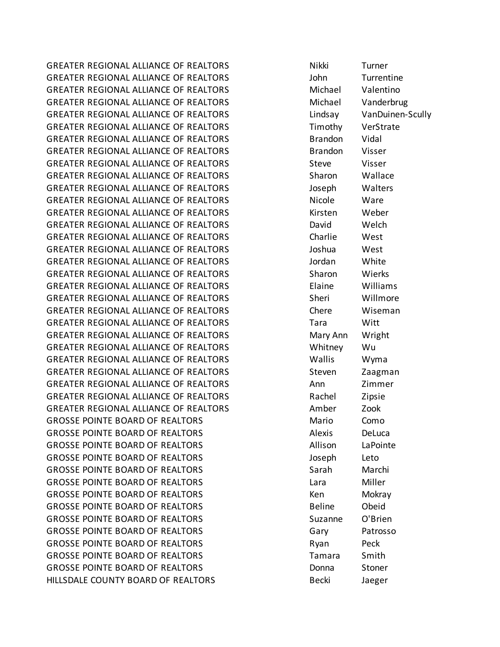GREATER REGIONAL ALLIANCE OF REALTORS Nikki Turner GREATER REGIONAL ALLIANCE OF REALTORS John Turrentine GREATER REGIONAL ALLIANCE OF REALTORS Michael Valentino GREATER REGIONAL ALLIANCE OF REALTORS Michael Vanderbrug GREATER REGIONAL ALLIANCE OF REALTORS Lindsay VanDuinen-Scully GREATER REGIONAL ALLIANCE OF REALTORS Timothy VerStrate GREATER REGIONAL ALLIANCE OF REALTORS **Brandon** Vidal GREATER REGIONAL ALLIANCE OF REALTORS FRAGIST REALTORS BRANDON VISSER GREATER REGIONAL ALLIANCE OF REALTORS Steve Steve Steve Steve GREATER REGIONAL ALLIANCE OF REALTORS Sharon Wallace GREATER REGIONAL ALLIANCE OF REALTORS Joseph Walters GREATER REGIONAL ALLIANCE OF REALTORS NET MAKE A Nicole Ware GREATER REGIONAL ALLIANCE OF REALTORS THE REALTORS Kirsten Weber GREATER REGIONAL ALLIANCE OF REALTORS THE REALTORS David Welch GREATER REGIONAL ALLIANCE OF REALTORS Charlie West GREATER REGIONAL ALLIANCE OF REALTORS Joshua West GREATER REGIONAL ALLIANCE OF REALTORS THE STATE State of Month GREATER REGIONAL ALLIANCE OF REALTORS Sharon Wierks GREATER REGIONAL ALLIANCE OF REALTORS Elaine Williams GREATER REGIONAL ALLIANCE OF REALTORS Sheri Willmore GREATER REGIONAL ALLIANCE OF REALTORS Chere Wiseman GREATER REGIONAL ALLIANCE OF REALTORS Tara Witt GREATER REGIONAL ALLIANCE OF REALTORS **Mary Ann** Wright GREATER REGIONAL ALLIANCE OF REALTORS Whitney Wu GREATER REGIONAL ALLIANCE OF REALTORS Wallis Wyma GREATER REGIONAL ALLIANCE OF REALTORS THE STREAGHT STEVEN TO Zaagman GREATER REGIONAL ALLIANCE OF REALTORS Ann Zimmer GREATER REGIONAL ALLIANCE OF REALTORS THE Rachel Tripsie GREATER REGIONAL ALLIANCE OF REALTORS Amber Zook GROSSE POINTE BOARD OF REALTORS Mario Como GROSSE POINTE BOARD OF REALTORS Alexis DeLuca GROSSE POINTE BOARD OF REALTORS Allison LaPointe GROSSE POINTE BOARD OF REALTORS THE STATE SUBSERVIEW SUBSERVIEW Leto GROSSE POINTE BOARD OF REALTORS Sarah Marchi GROSSE POINTE BOARD OF REALTORS LATE Lara Miller GROSSE POINTE BOARD OF REALTORS THE REALTORS REALTORS CONSIDER A MOKRAY GROSSE POINTE BOARD OF REALTORS THE REALT BELINE BELINE BELINE Obeid GROSSE POINTE BOARD OF REALTORS Suzanne O'Brien GROSSE POINTE BOARD OF REALTORS GARDEN GARY Patrosso GROSSE POINTE BOARD OF REALTORS FOR REALTORS Ryan Peck GROSSE POINTE BOARD OF REALTORS TAG STATE SMITH TAMARA Smith GROSSE POINTE BOARD OF REALTORS **EXAGLE 1** Donna Stoner HILLSDALE COUNTY BOARD OF REALTORS THE REALTORS Becki Becki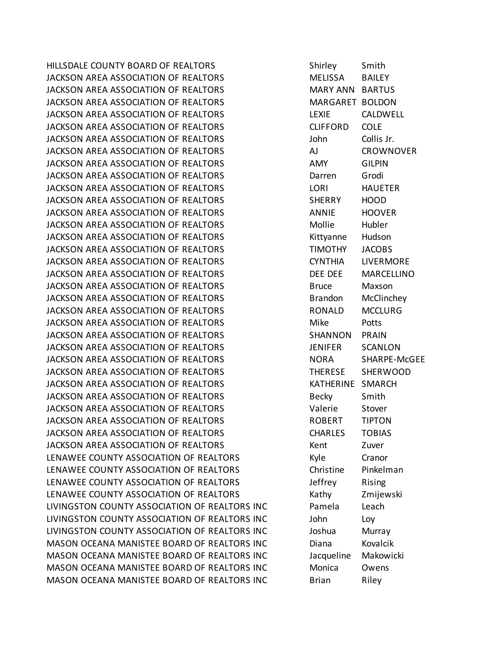HILLSDALE COUNTY BOARD OF REALTORS THE SHIRL SMITH SMITH JACKSON AREA ASSOCIATION OF REALTORS **MELISSA BAILEY** JACKSON AREA ASSOCIATION OF REALTORS MARY ANN BARTUS JACKSON AREA ASSOCIATION OF REALTORS **MARGARET BOLDON** JACKSON AREA ASSOCIATION OF REALTORS LEXIE CALDWELL JACKSON AREA ASSOCIATION OF REALTORS CLIFFORD COLE JACKSON AREA ASSOCIATION OF REALTORS THE STATE STATE Of List of LOI US ACTES ON A LOI COLLIS Jr. JACKSON AREA ASSOCIATION OF REALTORS AJ CROWNOVER JACKSON AREA ASSOCIATION OF REALTORS AMY GILPIN JACKSON AREA ASSOCIATION OF REALTORS Darren Grodi JACKSON AREA ASSOCIATION OF REALTORS LORI HAUETER JACKSON AREA ASSOCIATION OF REALTORS SHERRY HOOD JACKSON AREA ASSOCIATION OF REALTORS ANNIE HOOVER JACKSON AREA ASSOCIATION OF REALTORS Mollie Hubler JACKSON AREA ASSOCIATION OF REALTORS THE REALT RESERVE HUDS AND REALTY AND MUSICAL HUDSON JACKSON AREA ASSOCIATION OF REALTORS TIMOTHY JACOBS JACKSON AREA ASSOCIATION OF REALTORS CYNTHIA LIVERMORE JACKSON AREA ASSOCIATION OF REALTORS DEE DEE MARCELLINO JACKSON AREA ASSOCIATION OF REALTORS Bruce Maxson JACKSON AREA ASSOCIATION OF REALTORS **Brandon** McClinchey JACKSON AREA ASSOCIATION OF REALTORS RONALD MCCLURG JACKSON AREA ASSOCIATION OF REALTORS THE MIKE THAT POTTS JACKSON AREA ASSOCIATION OF REALTORS SHANNON PRAIN JACKSON AREA ASSOCIATION OF REALTORS JENIFER SCANLON JACKSON AREA ASSOCIATION OF REALTORS NORA SHARPE-McGEE JACKSON AREA ASSOCIATION OF REALTORS THERESE SHERWOOD JACKSON AREA ASSOCIATION OF REALTORS THE REALT AND MALL THERINE SMARCH JACKSON AREA ASSOCIATION OF REALTORS Becky Smith JACKSON AREA ASSOCIATION OF REALTORS Valerie Stover JACKSON AREA ASSOCIATION OF REALTORS FOR REALTORS ROBERT FIPTON JACKSON AREA ASSOCIATION OF REALTORS CHARLES TOBIAS JACKSON AREA ASSOCIATION OF REALTORS THE REALT MEET ALL ASSESSED AND REAL TO A VEHICLE A VEHICLE AND MEET ALCOHOL. LENAWEE COUNTY ASSOCIATION OF REALTORS THE REALTORS Kyle Cranor LENAWEE COUNTY ASSOCIATION OF REALTORS Christine Pinkelman LENAWEE COUNTY ASSOCIATION OF REALTORS THE SERVICE RISING LENAWEE COUNTY ASSOCIATION OF REALTORS Kathy Zmijewski LIVINGSTON COUNTY ASSOCIATION OF REALTORS INC Pamela Leach LIVINGSTON COUNTY ASSOCIATION OF REALTORS INC John Loy LIVINGSTON COUNTY ASSOCIATION OF REALTORS INC Joshua Murray MASON OCEANA MANISTEE BOARD OF REALTORS INC Diana Kovalcik MASON OCEANA MANISTEE BOARD OF REALTORS INC Jacqueline Makowicki MASON OCEANA MANISTEE BOARD OF REALTORS INC Monica Owens MASON OCEANA MANISTEE BOARD OF REALTORS INC Brian Riley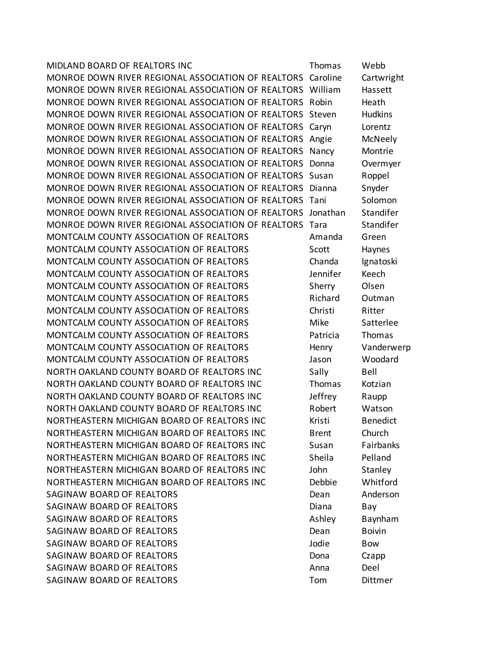| MIDLAND BOARD OF REALTORS INC                      | Thomas       | Webb            |
|----------------------------------------------------|--------------|-----------------|
| MONROE DOWN RIVER REGIONAL ASSOCIATION OF REALTORS | Caroline     | Cartwright      |
| MONROE DOWN RIVER REGIONAL ASSOCIATION OF REALTORS | William      | Hassett         |
| MONROE DOWN RIVER REGIONAL ASSOCIATION OF REALTORS | Robin        | Heath           |
| MONROE DOWN RIVER REGIONAL ASSOCIATION OF REALTORS | Steven       | <b>Hudkins</b>  |
| MONROE DOWN RIVER REGIONAL ASSOCIATION OF REALTORS | Caryn        | Lorentz         |
| MONROE DOWN RIVER REGIONAL ASSOCIATION OF REALTORS | Angie        | McNeely         |
| MONROE DOWN RIVER REGIONAL ASSOCIATION OF REALTORS | Nancy        | Montrie         |
| MONROE DOWN RIVER REGIONAL ASSOCIATION OF REALTORS | Donna        | Overmyer        |
| MONROE DOWN RIVER REGIONAL ASSOCIATION OF REALTORS | Susan        | Roppel          |
| MONROE DOWN RIVER REGIONAL ASSOCIATION OF REALTORS | Dianna       | Snyder          |
| MONROE DOWN RIVER REGIONAL ASSOCIATION OF REALTORS | Tani         | Solomon         |
| MONROE DOWN RIVER REGIONAL ASSOCIATION OF REALTORS | Jonathan     | Standifer       |
| MONROE DOWN RIVER REGIONAL ASSOCIATION OF REALTORS | Tara         | Standifer       |
| MONTCALM COUNTY ASSOCIATION OF REALTORS            | Amanda       | Green           |
| MONTCALM COUNTY ASSOCIATION OF REALTORS            | Scott        | Haynes          |
| MONTCALM COUNTY ASSOCIATION OF REALTORS            | Chanda       | Ignatoski       |
| MONTCALM COUNTY ASSOCIATION OF REALTORS            | Jennifer     | Keech           |
| MONTCALM COUNTY ASSOCIATION OF REALTORS            | Sherry       | Olsen           |
| MONTCALM COUNTY ASSOCIATION OF REALTORS            | Richard      | Outman          |
| MONTCALM COUNTY ASSOCIATION OF REALTORS            | Christi      | Ritter          |
| MONTCALM COUNTY ASSOCIATION OF REALTORS            | Mike         | Satterlee       |
| MONTCALM COUNTY ASSOCIATION OF REALTORS            | Patricia     | Thomas          |
| MONTCALM COUNTY ASSOCIATION OF REALTORS            | Henry        | Vanderwerp      |
| MONTCALM COUNTY ASSOCIATION OF REALTORS            | Jason        | Woodard         |
| NORTH OAKLAND COUNTY BOARD OF REALTORS INC         | Sally        | Bell            |
| NORTH OAKLAND COUNTY BOARD OF REALTORS INC         | Thomas       | Kotzian         |
| NORTH OAKLAND COUNTY BOARD OF REALTORS INC         | Jeffrey      | Raupp           |
| NORTH OAKLAND COUNTY BOARD OF REALTORS INC         | Robert       | Watson          |
| NORTHEASTERN MICHIGAN BOARD OF REALTORS INC        | Kristi       | <b>Benedict</b> |
| NORTHEASTERN MICHIGAN BOARD OF REALTORS INC        | <b>Brent</b> | Church          |
| NORTHEASTERN MICHIGAN BOARD OF REALTORS INC        | Susan        | Fairbanks       |
| NORTHEASTERN MICHIGAN BOARD OF REALTORS INC        | Sheila       | Pelland         |
| NORTHEASTERN MICHIGAN BOARD OF REALTORS INC        | John         | Stanley         |
| NORTHEASTERN MICHIGAN BOARD OF REALTORS INC        | Debbie       | Whitford        |
| SAGINAW BOARD OF REALTORS                          | Dean         | Anderson        |
| SAGINAW BOARD OF REALTORS                          | Diana        | Bay             |
| SAGINAW BOARD OF REALTORS                          | Ashley       | Baynham         |
| SAGINAW BOARD OF REALTORS                          | Dean         | <b>Boivin</b>   |
| SAGINAW BOARD OF REALTORS                          | Jodie        | Bow             |
| SAGINAW BOARD OF REALTORS                          | Dona         | Czapp           |
| SAGINAW BOARD OF REALTORS                          | Anna         | Deel            |
| SAGINAW BOARD OF REALTORS                          | Tom          | Dittmer         |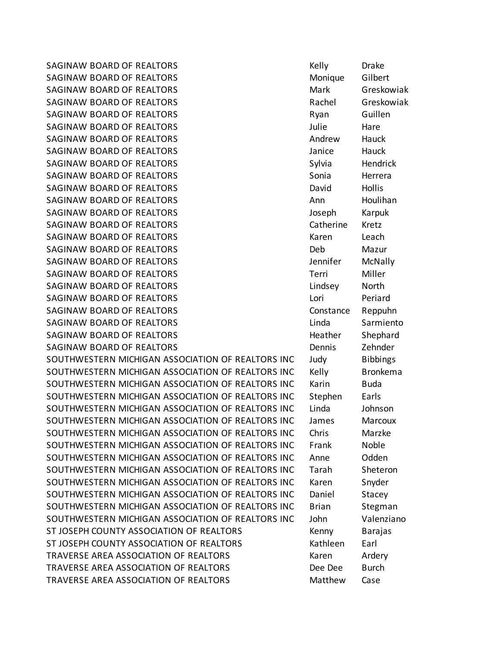SAGINAW BOARD OF REALTORS THE REALT ON SAGINAL REALTY REALTY AND REALTY AND REALTY AND REALTY AND REALTY AND RE SAGINAW BOARD OF REALTORS MONICLE SAGINAW Gilbert SAGINAW BOARD OF REALTORS MARY Mark Greskowiak SAGINAW BOARD OF REALTORS **Rachel Greskowiak** Rachel Greskowiak SAGINAW BOARD OF REALTORS **Rights** Ryan Guillen SAGINAW BOARD OF REALTORS **SAGINAW BOARD OF REALTORS** SAGINAW BOARD OF REALTORS AND THE SAGINAW Hauck SAGINAW BOARD OF REALTORS **SAGINAW BOARD OF REALTORS Janice** Hauck SAGINAW BOARD OF REALTORS SAGING AND SAGINAW Hendrick SAGINAW BOARD OF REALTORS **SAGINAW BOARD** OF REALTORS SAGINAW BOARD OF REALTORS **CONTROLL CONTROLLY SAGINAL HOLD** Hollis SAGINAW BOARD OF REALTORS **Ann** Houlihan SAGINAW BOARD OF REALTORS **SAGINAW BOARD OF REALTORS** SAGINAW BOARD OF REALTORS **Catherine Kretz** SAGINAW BOARD OF REALTORS NET ALL THE SAGINAW BOARD OF REALTORS SAGINAW BOARD OF REALTORS **Example 20 SAGINAW BOARD OF REALTORS Example 20 SIMUS** SAGINAW BOARD OF REALTORS **SAGINAW BOARD OF REALTORS Jennifer** McNally SAGINAW BOARD OF REALTORS TERRITORS TERRITORS THE STAGING MILLER SAGINAW BOARD OF REALTORS LINDS AND REALTORS Lindsey North SAGINAW BOARD OF REALTORS LOT NEXT CONTROLL BETTER THE REALT OF STATE REALTY AND REALTY AND REALTY AND REALTY A SAGINAW BOARD OF REALTORS **CONSTANDING** Constance Reppuhn SAGINAW BOARD OF REALTORS LIND CONTROL CONTROLLER Sarmiento SAGINAW BOARD OF REALTORS **EXAGINAL SHEP SHEP SHEP Shephard** SAGINAW BOARD OF REALTORS **Example 20 SAGINAW BOARD OF REALTORS Example 20 SET A** SOUTHWESTERN MICHIGAN ASSOCIATION OF REALTORS INC Judy Bibbings SOUTHWESTERN MICHIGAN ASSOCIATION OF REALTORS INC Kelly Bronkema SOUTHWESTERN MICHIGAN ASSOCIATION OF REALTORS INC Karin Buda SOUTHWESTERN MICHIGAN ASSOCIATION OF REALTORS INC Stephen Earls SOUTHWESTERN MICHIGAN ASSOCIATION OF REALTORS INC Linda Johnson SOUTHWESTERN MICHIGAN ASSOCIATION OF REALTORS INC James Marcoux SOUTHWESTERN MICHIGAN ASSOCIATION OF REALTORS INC Chris Marzke SOUTHWESTERN MICHIGAN ASSOCIATION OF REALTORS INC Frank Noble SOUTHWESTERN MICHIGAN ASSOCIATION OF REALTORS INC Anne Odden SOUTHWESTERN MICHIGAN ASSOCIATION OF REALTORS INC Tarah Sheteron SOUTHWESTERN MICHIGAN ASSOCIATION OF REALTORS INC Karen Snyder SOUTHWESTERN MICHIGAN ASSOCIATION OF REALTORS INC Daniel Stacey SOUTHWESTERN MICHIGAN ASSOCIATION OF REALTORS INC Brian Stegman SOUTHWESTERN MICHIGAN ASSOCIATION OF REALTORS INC John Valenziano ST JOSEPH COUNTY ASSOCIATION OF REALTORS THE REALT REALTY REALTY ASSESSED A REAL REAL REAL REAL REALTY ASSESSED ST JOSEPH COUNTY ASSOCIATION OF REALTORS THE REATLE Rathleen Earl TRAVERSE AREA ASSOCIATION OF REALTORS TRAVERSE Raren Ardery TRAVERSE AREA ASSOCIATION OF REALTORS Dee Dee Burch TRAVERSE AREA ASSOCIATION OF REALTORS TRAVERSE Matthew Case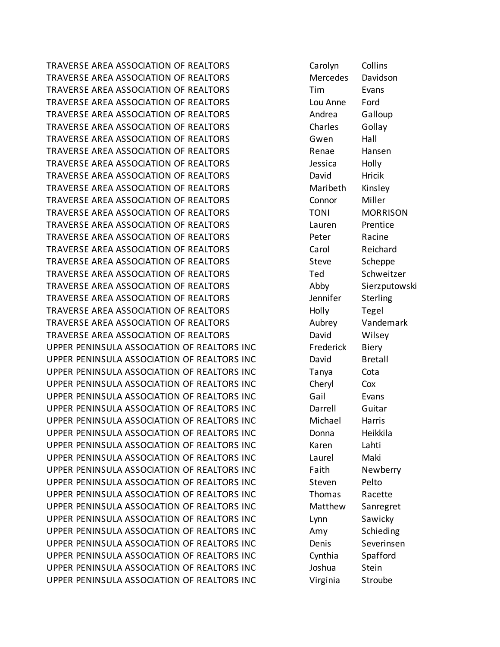TRAVERSE AREA ASSOCIATION OF REALTORS Carolyn Collins TRAVERSE AREA ASSOCIATION OF REALTORS METALLY Mercedes Davidson TRAVERSE AREA ASSOCIATION OF REALTORS TIM Tim Evans TRAVERSE AREA ASSOCIATION OF REALTORS Lou Anne Ford TRAVERSE AREA ASSOCIATION OF REALTORS TRAVERSE Andrea Galloup TRAVERSE AREA ASSOCIATION OF REALTORS TRAVERSES Collay TRAVERSE AREA ASSOCIATION OF REALTORS Gwen Hall TRAVERSE AREA ASSOCIATION OF REALTORS TRAVERSE Hansen TRAVERSE AREA ASSOCIATION OF REALTORS Jessica Holly TRAVERSE AREA ASSOCIATION OF REALTORS TRAVERSE David Hricik TRAVERSE AREA ASSOCIATION OF REALTORS Maribeth Kinsley TRAVERSE AREA ASSOCIATION OF REALTORS Connor Miller TRAVERSE AREA ASSOCIATION OF REALTORS TONI MORRISON TRAVERSE AREA ASSOCIATION OF REALTORS Lauren Prentice TRAVERSE AREA ASSOCIATION OF REALTORS TRAVERSE Peter Racine TRAVERSE AREA ASSOCIATION OF REALTORS TRAVERSE Carol Reichard TRAVERSE AREA ASSOCIATION OF REALTORS Steve Scheppe TRAVERSE AREA ASSOCIATION OF REALTORS Ted Schweitzer TRAVERSE AREA ASSOCIATION OF REALTORS TRAVERSE Abby Sierzputowski TRAVERSE AREA ASSOCIATION OF REALTORS Jennifer Sterling TRAVERSE AREA ASSOCIATION OF REALTORS TRAVERSE Holly Tegel TRAVERSE AREA ASSOCIATION OF REALTORS TRAVERSE Vandemark TRAVERSE AREA ASSOCIATION OF REALTORS TRAVERSE David Wilsey UPPER PENINSULA ASSOCIATION OF REALTORS INC Frederick Biery UPPER PENINSULA ASSOCIATION OF REALTORS INC David Bretall UPPER PENINSULA ASSOCIATION OF REALTORS INC Tanya Cota UPPER PENINSULA ASSOCIATION OF REALTORS INC Cheryl Cox UPPER PENINSULA ASSOCIATION OF REALTORS INC Gail Evans UPPER PENINSULA ASSOCIATION OF REALTORS INC Darrell Guitar UPPER PENINSULA ASSOCIATION OF REALTORS INC Michael Harris UPPER PENINSULA ASSOCIATION OF REALTORS INC Donna Heikkila UPPER PENINSULA ASSOCIATION OF REALTORS INC Karen Lahti UPPER PENINSULA ASSOCIATION OF REALTORS INC Laurel Maki UPPER PENINSULA ASSOCIATION OF REALTORS INC Faith Newberry UPPER PENINSULA ASSOCIATION OF REALTORS INC Steven Pelto UPPER PENINSULA ASSOCIATION OF REALTORS INC Thomas Racette UPPER PENINSULA ASSOCIATION OF REALTORS INC Matthew Sanregret UPPER PENINSULA ASSOCIATION OF REALTORS INC Lynn Sawicky UPPER PENINSULA ASSOCIATION OF REALTORS INC Amy Schieding UPPER PENINSULA ASSOCIATION OF REALTORS INC Denis Severinsen UPPER PENINSULA ASSOCIATION OF REALTORS INC Cynthia Spafford UPPER PENINSULA ASSOCIATION OF REALTORS INC Joshua Stein UPPER PENINSULA ASSOCIATION OF REALTORS INC Virginia Stroube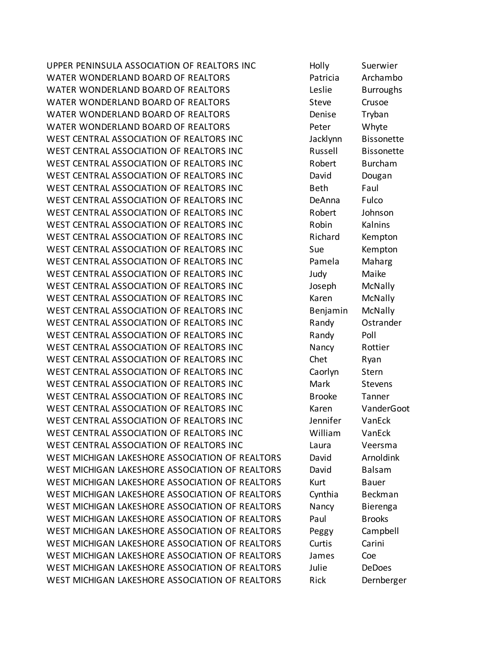UPPER PENINSULA ASSOCIATION OF REALTORS INC Holly Suerwier WATER WONDERLAND BOARD OF REALTORS **Example 20 Formulation** Patricia Archambo WATER WONDERLAND BOARD OF REALTORS Leslie Burroughs WATER WONDERLAND BOARD OF REALTORS THE STRING STEVE CRUSOE WATER WONDERLAND BOARD OF REALTORS THE REALTORS Denise Tryban WATER WONDERLAND BOARD OF REALTORS FOR Peter Whyte WEST CENTRAL ASSOCIATION OF REALTORS INC Finance and Jacklynn Bissonette WEST CENTRAL ASSOCIATION OF REALTORS INC THE RUSSELL BISSONETTE WEST CENTRAL ASSOCIATION OF REALTORS INC The Robert Burcham WEST CENTRAL ASSOCIATION OF REALTORS INC **David** Dougan WEST CENTRAL ASSOCIATION OF REALTORS INC Fact brack beth Faul WEST CENTRAL ASSOCIATION OF REALTORS INC **Example 20 DeAnna** Fulco WEST CENTRAL ASSOCIATION OF REALTORS INC FILL Robert For Johnson WEST CENTRAL ASSOCIATION OF REALTORS INC The Robin Kalnins WEST CENTRAL ASSOCIATION OF REALTORS INC THE Richard Kempton WEST CENTRAL ASSOCIATION OF REALTORS INC Sue Sue Kempton WEST CENTRAL ASSOCIATION OF REALTORS INC Fig. 5.5 Pamela Maharg WEST CENTRAL ASSOCIATION OF REALTORS INC Fig. 5 Fig. 2.1 Judy Maike WEST CENTRAL ASSOCIATION OF REALTORS INC FILL The Superphysion of McNally WEST CENTRAL ASSOCIATION OF REALTORS INC THE MEDITION CONTRAL MENTION MEDITION OF REALTORS INC WEST CENTRAL ASSOCIATION OF REALTORS INC **Benjamin** McNally WEST CENTRAL ASSOCIATION OF REALTORS INC FINITE Randy Ostrander WEST CENTRAL ASSOCIATION OF REALTORS INC FINITE Randy Poll WEST CENTRAL ASSOCIATION OF REALTORS INC Nancy Rottier WEST CENTRAL ASSOCIATION OF REALTORS INC The Ryan WEST CENTRAL ASSOCIATION OF REALTORS INC Fig. 5. Caorlyn Stern WEST CENTRAL ASSOCIATION OF REALTORS INC **Mark** Stevens WEST CENTRAL ASSOCIATION OF REALTORS INC Brooke Tanner WEST CENTRAL ASSOCIATION OF REALTORS INC The Marting WanderGoot WEST CENTRAL ASSOCIATION OF REALTORS INC FINITIAL MANUSCRIPT CHANGES WEST CENTRAL ASSOCIATION OF REALTORS INC **WILLIAM William** VanEck WEST CENTRAL ASSOCIATION OF REALTORS INC Laura Veersma WEST MICHIGAN LAKESHORE ASSOCIATION OF REALTORS David Arnoldink WEST MICHIGAN LAKESHORE ASSOCIATION OF REALTORS David Balsam WEST MICHIGAN LAKESHORE ASSOCIATION OF REALTORS Kurt Bauer WEST MICHIGAN LAKESHORE ASSOCIATION OF REALTORS Cynthia Beckman WEST MICHIGAN LAKESHORE ASSOCIATION OF REALTORS Nancy Bierenga WEST MICHIGAN LAKESHORE ASSOCIATION OF REALTORS Paul Brooks WEST MICHIGAN LAKESHORE ASSOCIATION OF REALTORS Peggy Campbell WEST MICHIGAN LAKESHORE ASSOCIATION OF REALTORS Curtis Carini WEST MICHIGAN LAKESHORE ASSOCIATION OF REALTORS James Coe WEST MICHIGAN LAKESHORE ASSOCIATION OF REALTORS Julie DeDoes WEST MICHIGAN LAKESHORE ASSOCIATION OF REALTORS Rick Dernberger